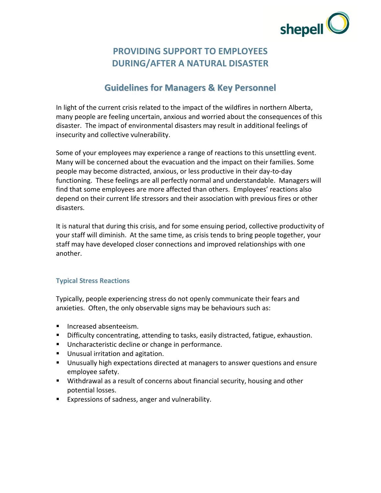

# **PROVIDING SUPPORT TO EMPLOYEES DURING/AFTER A NATURAL DISASTER**

## **Guidelines for Managers & Key Personnel**

In light of the current crisis related to the impact of the wildfires in northern Alberta, many people are feeling uncertain, anxious and worried about the consequences of this disaster. The impact of environmental disasters may result in additional feelings of insecurity and collective vulnerability.

Some of your employees may experience a range of reactions to this unsettling event. Many will be concerned about the evacuation and the impact on their families. Some people may become distracted, anxious, or less productive in their day-to-day functioning. These feelings are all perfectly normal and understandable. Managers will find that some employees are more affected than others. Employees' reactions also depend on their current life stressors and their association with previous fires or other disasters.

It is natural that during this crisis, and for some ensuing period, collective productivity of your staff will diminish. At the same time, as crisis tends to bring people together, your staff may have developed closer connections and improved relationships with one another.

## **Typical Stress Reactions**

Typically, people experiencing stress do not openly communicate their fears and anxieties. Often, the only observable signs may be behaviours such as:

- **Increased absenteeism.**
- **Difficulty concentrating, attending to tasks, easily distracted, fatigue, exhaustion.**
- **Uncharacteristic decline or change in performance.**
- **Unusual irritation and agitation.**
- **Unusually high expectations directed at managers to answer questions and ensure** employee safety.
- Withdrawal as a result of concerns about financial security, housing and other potential losses.
- **Expressions of sadness, anger and vulnerability.**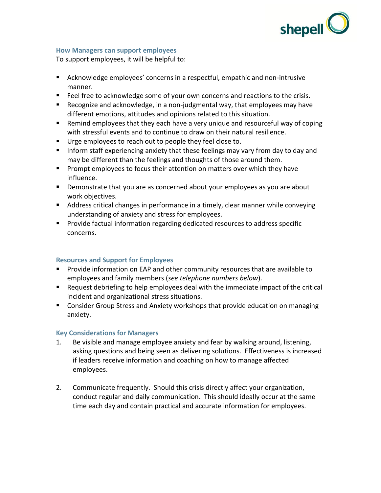

#### **How Managers can support employees**

To support employees, it will be helpful to:

- Acknowledge employees' concerns in a respectful, empathic and non-intrusive manner.
- Feel free to acknowledge some of your own concerns and reactions to the crisis.
- Recognize and acknowledge, in a non-judgmental way, that employees may have different emotions, attitudes and opinions related to this situation.
- Remind employees that they each have a very unique and resourceful way of coping with stressful events and to continue to draw on their natural resilience.
- Urge employees to reach out to people they feel close to.
- **Inform staff experiencing anxiety that these feelings may vary from day to day and** may be different than the feelings and thoughts of those around them.
- **Prompt employees to focus their attention on matters over which they have** influence.
- **Demonstrate that you are as concerned about your employees as you are about** work objectives.
- **Address critical changes in performance in a timely, clear manner while conveying** understanding of anxiety and stress for employees.
- Provide factual information regarding dedicated resources to address specific concerns.

## **Resources and Support for Employees**

- **Provide information on EAP and other community resources that are available to** employees and family members (*see telephone numbers below*).
- Request debriefing to help employees deal with the immediate impact of the critical incident and organizational stress situations.
- Consider Group Stress and Anxiety workshops that provide education on managing anxiety.

## **Key Considerations for Managers**

- 1. Be visible and manage employee anxiety and fear by walking around, listening, asking questions and being seen as delivering solutions. Effectiveness is increased if leaders receive information and coaching on how to manage affected employees.
- 2. Communicate frequently. Should this crisis directly affect your organization, conduct regular and daily communication. This should ideally occur at the same time each day and contain practical and accurate information for employees.